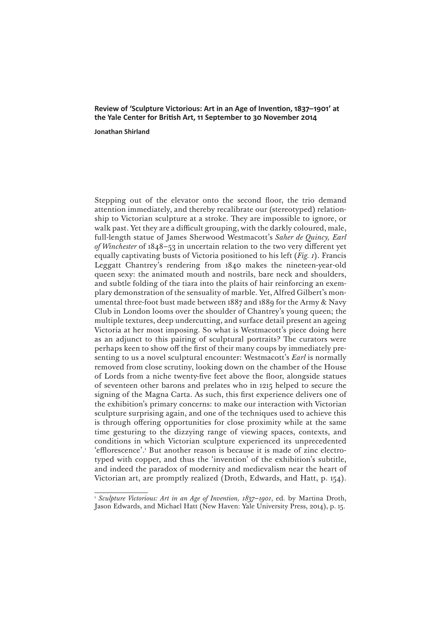## **Review of 'Sculpture Victorious: Art in an Age of Invention, 1837–1901' at the Yale Center for British Art, 11 September to 30 November 2014**

## **Jonathan Shirland**

Stepping out of the elevator onto the second floor, the trio demand attention immediately, and thereby recalibrate our (stereotyped) relationship to Victorian sculpture at a stroke. They are impossible to ignore, or walk past. Yet they are a difficult grouping, with the darkly coloured, male, full-length statue of James Sherwood Westmacott's *Saher de Quincy, Earl of Winchester* of 1848–53 in uncertain relation to the two very different yet equally captivating busts of Victoria positioned to his left (*Fig. 1*). Francis Leggatt Chantrey's rendering from 1840 makes the nineteen-year-old queen sexy: the animated mouth and nostrils, bare neck and shoulders, and subtle folding of the tiara into the plaits of hair reinforcing an exemplary demonstration of the sensuality of marble. Yet, Alfred Gilbert's monumental three-foot bust made between 1887 and 1889 for the Army & Navy Club in London looms over the shoulder of Chantrey's young queen; the multiple textures, deep undercutting, and surface detail present an ageing Victoria at her most imposing. So what is Westmacott's piece doing here as an adjunct to this pairing of sculptural portraits? The curators were perhaps keen to show off the first of their many coups by immediately presenting to us a novel sculptural encounter: Westmacott's *Earl* is normally removed from close scrutiny, looking down on the chamber of the House of Lords from a niche twenty-five feet above the floor, alongside statues of seventeen other barons and prelates who in 1215 helped to secure the signing of the Magna Carta. As such, this first experience delivers one of the exhibition's primary concerns: to make our interaction with Victorian sculpture surprising again, and one of the techniques used to achieve this is through offering opportunities for close proximity while at the same time gesturing to the dizzying range of viewing spaces, contexts, and conditions in which Victorian sculpture experienced its unprecedented 'efflorescence'.1 But another reason is because it is made of zinc electrotyped with copper, and thus the 'invention' of the exhibition's subtitle, and indeed the paradox of modernity and medievalism near the heart of Victorian art, are promptly realized (Droth, Edwards, and Hatt, p. 154).

<sup>&</sup>lt;sup>1</sup> Sculpture Victorious: Art in an Age of Invention, 1837-1901, ed. by Martina Droth, Jason Edwards, and Michael Hatt (New Haven: Yale University Press, 2014), p. 15.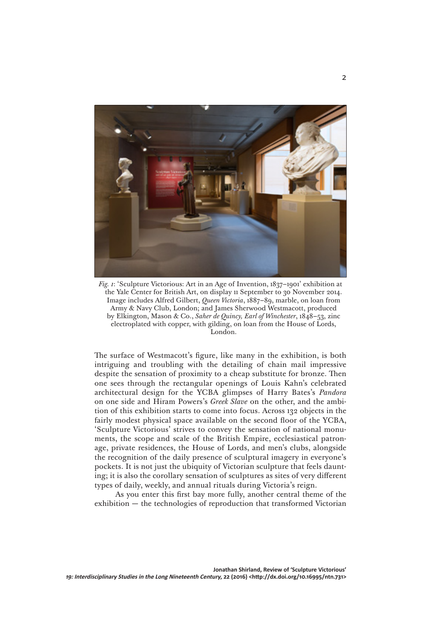

*Fig. 1*: 'Sculpture Victorious: Art in an Age of Invention, 1837–1901' exhibition at the Yale Center for British Art, on display 11 September to 30 November 2014. Image includes Alfred Gilbert, *Queen Victoria*, 1887–89, marble, on loan from Army & Navy Club, London; and James Sherwood Westmacott, produced by Elkington, Mason & Co., *Saher de Quincy, Earl of Winchester*, 1848–53, zinc electroplated with copper, with gilding, on loan from the House of Lords, London.

The surface of Westmacott's figure, like many in the exhibition, is both intriguing and troubling with the detailing of chain mail impressive despite the sensation of proximity to a cheap substitute for bronze. Then one sees through the rectangular openings of Louis Kahn's celebrated architectural design for the YCBA glimpses of Harry Bates's *Pandora* on one side and Hiram Powers's *Greek Slave* on the other, and the ambition of this exhibition starts to come into focus. Across 132 objects in the fairly modest physical space available on the second floor of the YCBA, 'Sculpture Victorious' strives to convey the sensation of national monuments, the scope and scale of the British Empire, ecclesiastical patronage, private residences, the House of Lords, and men's clubs, alongside the recognition of the daily presence of sculptural imagery in everyone's pockets. It is not just the ubiquity of Victorian sculpture that feels daunting; it is also the corollary sensation of sculptures as sites of very different types of daily, weekly, and annual rituals during Victoria's reign.

As you enter this first bay more fully, another central theme of the exhibition — the technologies of reproduction that transformed Victorian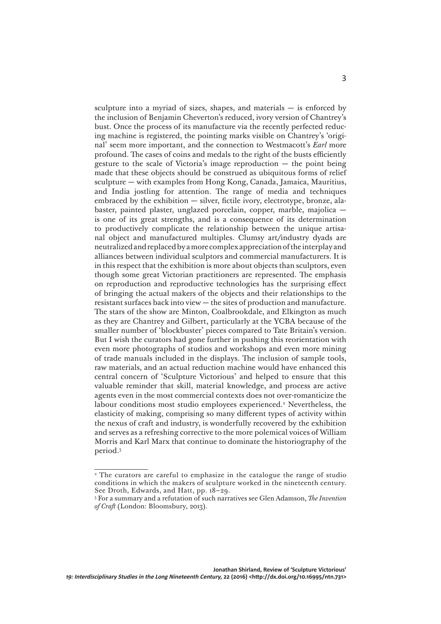sculpture into a myriad of sizes, shapes, and materials  $-$  is enforced by the inclusion of Benjamin Cheverton's reduced, ivory version of Chantrey's bust. Once the process of its manufacture via the recently perfected reducing machine is registered, the pointing marks visible on Chantrey's 'original' seem more important, and the connection to Westmacott's *Earl* more profound. The cases of coins and medals to the right of the busts efficiently gesture to the scale of Victoria's image reproduction  $-$  the point being made that these objects should be construed as ubiquitous forms of relief sculpture — with examples from Hong Kong, Canada, Jamaica, Mauritius, and India jostling for attention. The range of media and techniques embraced by the exhibition — silver, fictile ivory, electrotype, bronze, alabaster, painted plaster, unglazed porcelain, copper, marble, majolica is one of its great strengths, and is a consequence of its determination to productively complicate the relationship between the unique artisanal object and manufactured multiples. Clumsy art/industry dyads are neutralized and replaced by a more complex appreciation of the interplay and alliances between individual sculptors and commercial manufacturers. It is in this respect that the exhibition is more about objects than sculptors, even though some great Victorian practitioners are represented. The emphasis on reproduction and reproductive technologies has the surprising effect of bringing the actual makers of the objects and their relationships to the resistant surfaces back into view — the sites of production and manufacture. The stars of the show are Minton, Coalbrookdale, and Elkington as much as they are Chantrey and Gilbert, particularly at the YCBA because of the smaller number of 'blockbuster' pieces compared to Tate Britain's version. But I wish the curators had gone further in pushing this reorientation with even more photographs of studios and workshops and even more mining of trade manuals included in the displays. The inclusion of sample tools, raw materials, and an actual reduction machine would have enhanced this central concern of 'Sculpture Victorious' and helped to ensure that this valuable reminder that skill, material knowledge, and process are active agents even in the most commercial contexts does not over-romanticize the labour conditions most studio employees experienced.<sup>2</sup> Nevertheless, the elasticity of making, comprising so many different types of activity within the nexus of craft and industry, is wonderfully recovered by the exhibition and serves as a refreshing corrective to the more polemical voices of William Morris and Karl Marx that continue to dominate the historiography of the period.3

<sup>&</sup>lt;sup>2</sup> The curators are careful to emphasize in the catalogue the range of studio conditions in which the makers of sculpture worked in the nineteenth century. See Droth, Edwards, and Hatt, pp. 18–29.

<sup>3</sup> For a summary and a refutation of such narratives see Glen Adamson, *The Invention of Craft* (London: Bloomsbury, 2013).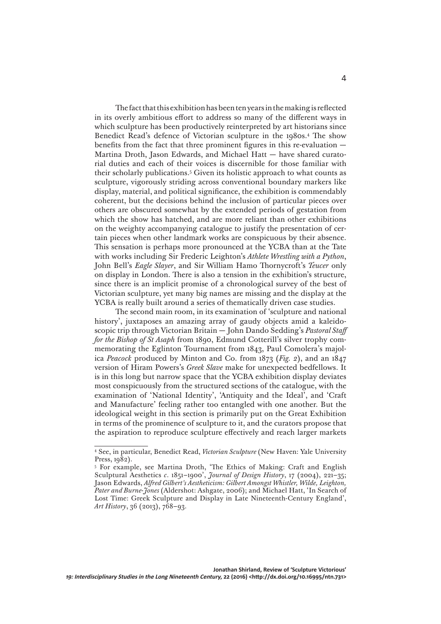The fact that this exhibition has been ten years in the making is reflected in its overly ambitious effort to address so many of the different ways in which sculpture has been productively reinterpreted by art historians since Benedict Read's defence of Victorian sculpture in the 1980s.4 The show benefits from the fact that three prominent figures in this re-evaluation — Martina Droth, Jason Edwards, and Michael Hatt — have shared curatorial duties and each of their voices is discernible for those familiar with their scholarly publications.5 Given its holistic approach to what counts as sculpture, vigorously striding across conventional boundary markers like display, material, and political significance, the exhibition is commendably coherent, but the decisions behind the inclusion of particular pieces over others are obscured somewhat by the extended periods of gestation from which the show has hatched, and are more reliant than other exhibitions on the weighty accompanying catalogue to justify the presentation of certain pieces when other landmark works are conspicuous by their absence. This sensation is perhaps more pronounced at the YCBA than at the Tate with works including Sir Frederic Leighton's *Athlete Wrestling with a Python*, John Bell's *Eagle Slayer*, and Sir William Hamo Thornycroft's *Teucer* only on display in London. There is also a tension in the exhibition's structure, since there is an implicit promise of a chronological survey of the best of Victorian sculpture, yet many big names are missing and the display at the YCBA is really built around a series of thematically driven case studies.

The second main room, in its examination of 'sculpture and national history', juxtaposes an amazing array of gaudy objects amid a kaleidoscopic trip through Victorian Britain — John Dando Sedding's *Pastoral Staff for the Bishop of St Asaph* from 1890, Edmund Cotterill's silver trophy commemorating the Eglinton Tournament from 1843, Paul Comolera's majolica *Peacock* produced by Minton and Co. from 1873 (*Fig. 2*), and an 1847 version of Hiram Powers's *Greek Slave* make for unexpected bedfellows. It is in this long but narrow space that the YCBA exhibition display deviates most conspicuously from the structured sections of the catalogue, with the examination of 'National Identity', 'Antiquity and the Ideal', and 'Craft and Manufacture' feeling rather too entangled with one another. But the ideological weight in this section is primarily put on the Great Exhibition in terms of the prominence of sculpture to it, and the curators propose that the aspiration to reproduce sculpture effectively and reach larger markets

<sup>4</sup> See, in particular, Benedict Read, *Victorian Sculpture* (New Haven: Yale University Press, 1982).

<sup>5</sup> For example, see Martina Droth, 'The Ethics of Making: Craft and English Sculptural Aesthetics *c*. 1851–1900', *Journal of Design History*, 17 (2004), 221–35; Jason Edwards, *Alfred Gilbert's Aestheticism: Gilbert Amongst Whistler, Wilde, Leighton, Pater and Burne-Jones* (Aldershot: Ashgate, 2006); and Michael Hatt, 'In Search of Lost Time: Greek Sculpture and Display in Late Nineteenth-Century England', *Art History*, 36 (2013), 768–93.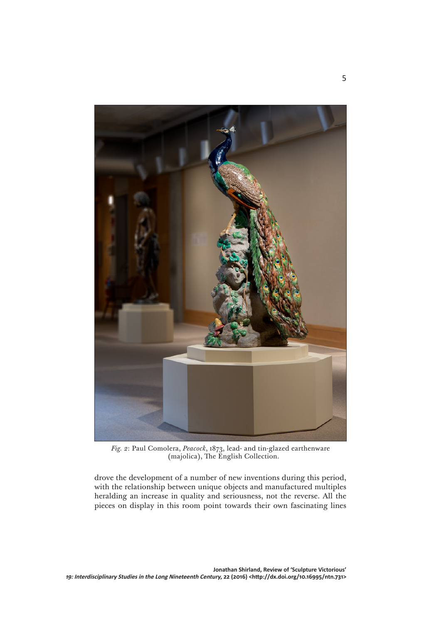

*Fig. 2*: Paul Comolera, *Peacock*, 1873, lead- and tin-glazed earthenware (majolica), The English Collection.

drove the development of a number of new inventions during this period, with the relationship between unique objects and manufactured multiples heralding an increase in quality and seriousness, not the reverse. All the pieces on display in this room point towards their own fascinating lines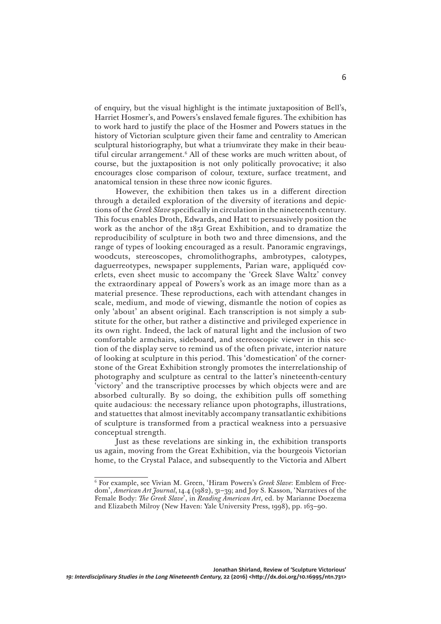of enquiry, but the visual highlight is the intimate juxtaposition of Bell's, Harriet Hosmer's, and Powers's enslaved female figures. The exhibition has to work hard to justify the place of the Hosmer and Powers statues in the history of Victorian sculpture given their fame and centrality to American sculptural historiography, but what a triumvirate they make in their beautiful circular arrangement.<sup>6</sup> All of these works are much written about, of course, but the juxtaposition is not only politically provocative; it also encourages close comparison of colour, texture, surface treatment, and anatomical tension in these three now iconic figures.

However, the exhibition then takes us in a different direction through a detailed exploration of the diversity of iterations and depictions of the *Greek Slave* specifically in circulation in the nineteenth century. This focus enables Droth, Edwards, and Hatt to persuasively position the work as the anchor of the 1851 Great Exhibition, and to dramatize the reproducibility of sculpture in both two and three dimensions, and the range of types of looking encouraged as a result. Panoramic engravings, woodcuts, stereoscopes, chromolithographs, ambrotypes, calotypes, daguerreotypes, newspaper supplements, Parian ware, appliquéd coverlets, even sheet music to accompany the 'Greek Slave Waltz' convey the extraordinary appeal of Powers's work as an image more than as a material presence. These reproductions, each with attendant changes in scale, medium, and mode of viewing, dismantle the notion of copies as only 'about' an absent original. Each transcription is not simply a substitute for the other, but rather a distinctive and privileged experience in its own right. Indeed, the lack of natural light and the inclusion of two comfortable armchairs, sideboard, and stereoscopic viewer in this section of the display serve to remind us of the often private, interior nature of looking at sculpture in this period. This 'domestication' of the cornerstone of the Great Exhibition strongly promotes the interrelationship of photography and sculpture as central to the latter's nineteenth-century 'victory' and the transcriptive processes by which objects were and are absorbed culturally. By so doing, the exhibition pulls off something quite audacious: the necessary reliance upon photographs, illustrations, and statuettes that almost inevitably accompany transatlantic exhibitions of sculpture is transformed from a practical weakness into a persuasive conceptual strength.

Just as these revelations are sinking in, the exhibition transports us again, moving from the Great Exhibition, via the bourgeois Victorian home, to the Crystal Palace, and subsequently to the Victoria and Albert

<sup>6</sup> For example, see Vivian M. Green, 'Hiram Powers's *Greek Slave*: Emblem of Freedom', *American Art Journal*, 14.4 (1982), 31–39; and Joy S. Kasson, 'Narratives of the Female Body: *The Greek Slave*', in *Reading American Art*, ed. by Marianne Doezema and Elizabeth Milroy (New Haven: Yale University Press, 1998), pp. 163-90.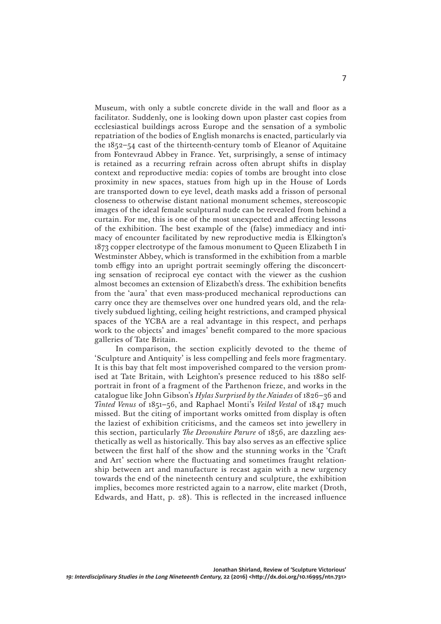Museum, with only a subtle concrete divide in the wall and floor as a facilitator. Suddenly, one is looking down upon plaster cast copies from ecclesiastical buildings across Europe and the sensation of a symbolic repatriation of the bodies of English monarchs is enacted, particularly via the 1852–54 cast of the thirteenth-century tomb of Eleanor of Aquitaine from Fontevraud Abbey in France. Yet, surprisingly, a sense of intimacy is retained as a recurring refrain across often abrupt shifts in display context and reproductive media: copies of tombs are brought into close proximity in new spaces, statues from high up in the House of Lords are transported down to eye level, death masks add a frisson of personal closeness to otherwise distant national monument schemes, stereoscopic images of the ideal female sculptural nude can be revealed from behind a curtain. For me, this is one of the most unexpected and affecting lessons of the exhibition. The best example of the (false) immediacy and intimacy of encounter facilitated by new reproductive media is Elkington's 1873 copper electrotype of the famous monument to Queen Elizabeth I in Westminster Abbey, which is transformed in the exhibition from a marble tomb effigy into an upright portrait seemingly offering the disconcerting sensation of reciprocal eye contact with the viewer as the cushion almost becomes an extension of Elizabeth's dress. The exhibition benefits from the 'aura' that even mass-produced mechanical reproductions can carry once they are themselves over one hundred years old, and the relatively subdued lighting, ceiling height restrictions, and cramped physical spaces of the YCBA are a real advantage in this respect, and perhaps work to the objects' and images' benefit compared to the more spacious galleries of Tate Britain.

In comparison, the section explicitly devoted to the theme of 'Sculpture and Antiquity' is less compelling and feels more fragmentary. It is this bay that felt most impoverished compared to the version promised at Tate Britain, with Leighton's presence reduced to his 1880 selfportrait in front of a fragment of the Parthenon frieze, and works in the catalogue like John Gibson's *Hylas Surprised by the Naiades* of 1826–36 and *Tinted Venus* of 1851–56, and Raphael Monti's *Veiled Vestal* of 1847 much missed. But the citing of important works omitted from display is often the laziest of exhibition criticisms, and the cameos set into jewellery in this section, particularly *The Devonshire Parure* of 1856, are dazzling aesthetically as well as historically. This bay also serves as an effective splice between the first half of the show and the stunning works in the 'Craft and Art' section where the fluctuating and sometimes fraught relationship between art and manufacture is recast again with a new urgency towards the end of the nineteenth century and sculpture, the exhibition implies, becomes more restricted again to a narrow, elite market (Droth, Edwards, and Hatt, p. 28). This is reflected in the increased influence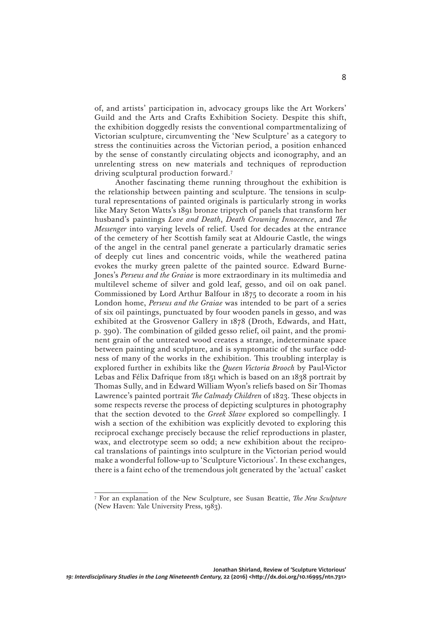of, and artists' participation in, advocacy groups like the Art Workers' Guild and the Arts and Crafts Exhibition Society. Despite this shift, the exhibition doggedly resists the conventional compartmentalizing of Victorian sculpture, circumventing the 'New Sculpture' as a category to stress the continuities across the Victorian period, a position enhanced by the sense of constantly circulating objects and iconography, and an unrelenting stress on new materials and techniques of reproduction driving sculptural production forward.7

Another fascinating theme running throughout the exhibition is the relationship between painting and sculpture. The tensions in sculptural representations of painted originals is particularly strong in works like Mary Seton Watts's 1891 bronze triptych of panels that transform her husband's paintings *Love and Death*, *Death Crowning Innocence*, and *The Messenger* into varying levels of relief. Used for decades at the entrance of the cemetery of her Scottish family seat at Aldourie Castle, the wings of the angel in the central panel generate a particularly dramatic series of deeply cut lines and concentric voids, while the weathered patina evokes the murky green palette of the painted source. Edward Burne-Jones's *Perseus and the Graiae* is more extraordinary in its multimedia and multilevel scheme of silver and gold leaf, gesso, and oil on oak panel. Commissioned by Lord Arthur Balfour in 1875 to decorate a room in his London home, *Perseus and the Graiae* was intended to be part of a series of six oil paintings, punctuated by four wooden panels in gesso, and was exhibited at the Grosvenor Gallery in 1878 (Droth, Edwards, and Hatt, p. 390). The combination of gilded gesso relief, oil paint, and the prominent grain of the untreated wood creates a strange, indeterminate space between painting and sculpture, and is symptomatic of the surface oddness of many of the works in the exhibition. This troubling interplay is explored further in exhibits like the *Queen Victoria Brooch* by Paul-Victor Lebas and Félix Dafrique from 1851 which is based on an 1838 portrait by Thomas Sully, and in Edward William Wyon's reliefs based on Sir Thomas Lawrence's painted portrait *The Calmady Children* of 1823. These objects in some respects reverse the process of depicting sculptures in photography that the section devoted to the *Greek Slave* explored so compellingly. I wish a section of the exhibition was explicitly devoted to exploring this reciprocal exchange precisely because the relief reproductions in plaster, wax, and electrotype seem so odd; a new exhibition about the reciprocal translations of paintings into sculpture in the Victorian period would make a wonderful follow-up to 'Sculpture Victorious'*.* In these exchanges, there is a faint echo of the tremendous jolt generated by the 'actual' casket

<sup>7</sup> For an explanation of the New Sculpture, see Susan Beattie, *The New Sculpture*  (New Haven: Yale University Press, 1983).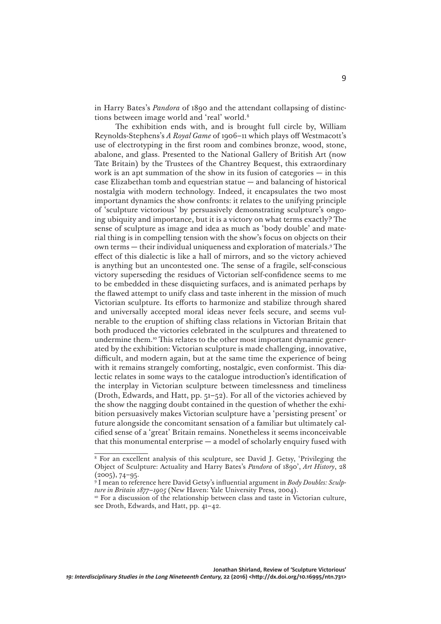in Harry Bates's *Pandora* of 1890 and the attendant collapsing of distinctions between image world and 'real' world.8

The exhibition ends with, and is brought full circle by, William Reynolds-Stephens's *A Royal Game* of 1906–11 which plays off Westmacott's use of electrotyping in the first room and combines bronze, wood, stone, abalone, and glass. Presented to the National Gallery of British Art (now Tate Britain) by the Trustees of the Chantrey Bequest, this extraordinary work is an apt summation of the show in its fusion of categories  $-$  in this case Elizabethan tomb and equestrian statue — and balancing of historical nostalgia with modern technology. Indeed, it encapsulates the two most important dynamics the show confronts: it relates to the unifying principle of 'sculpture victorious' by persuasively demonstrating sculpture's ongoing ubiquity and importance, but it is a victory on what terms exactly? The sense of sculpture as image and idea as much as 'body double' and material thing is in compelling tension with the show's focus on objects on their own terms — their individual uniqueness and exploration of materials.9 The effect of this dialectic is like a hall of mirrors, and so the victory achieved is anything but an uncontested one. The sense of a fragile, self-conscious victory superseding the residues of Victorian self-confidence seems to me to be embedded in these disquieting surfaces, and is animated perhaps by the flawed attempt to unify class and taste inherent in the mission of much Victorian sculpture. Its efforts to harmonize and stabilize through shared and universally accepted moral ideas never feels secure, and seems vulnerable to the eruption of shifting class relations in Victorian Britain that both produced the victories celebrated in the sculptures and threatened to undermine them.<sup>10</sup> This relates to the other most important dynamic generated by the exhibition: Victorian sculpture is made challenging, innovative, difficult, and modern again, but at the same time the experience of being with it remains strangely comforting, nostalgic, even conformist. This dialectic relates in some ways to the catalogue introduction's identification of the interplay in Victorian sculpture between timelessness and timeliness (Droth, Edwards, and Hatt, pp. 51–52). For all of the victories achieved by the show the nagging doubt contained in the question of whether the exhibition persuasively makes Victorian sculpture have a 'persisting present' or future alongside the concomitant sensation of a familiar but ultimately calcified sense of a 'great' Britain remains. Nonetheless it seems inconceivable that this monumental enterprise — a model of scholarly enquiry fused with

<sup>8</sup> For an excellent analysis of this sculpture, see David J. Getsy, 'Privileging the Object of Sculpture: Actuality and Harry Bates's *Pandora* of 1890', *Art History*, 28 (2005), 74–95.

<sup>9</sup> I mean to reference here David Getsy's influential argument in *Body Doubles: Sculpture in Britain 1877–1905* (New Haven: Yale University Press, 2004).

<sup>&</sup>lt;sup>10</sup> For a discussion of the relationship between class and taste in Victorian culture, see Droth, Edwards, and Hatt, pp.  $41-42$ .